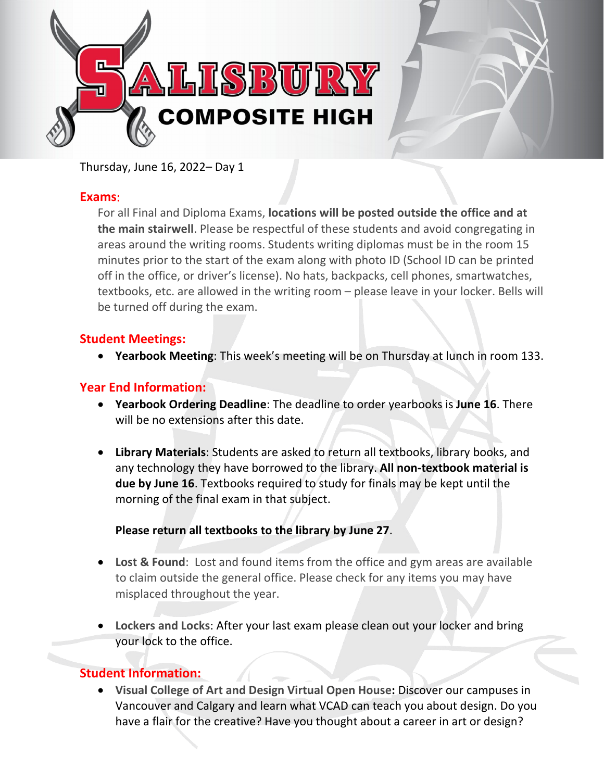

Thursday, June 16, 2022– Day 1

## **Exams**:

For all Final and Diploma Exams, **locations will be posted outside the office and at the main stairwell**. Please be respectful of these students and avoid congregating in areas around the writing rooms. Students writing diplomas must be in the room 15 minutes prior to the start of the exam along with photo ID (School ID can be printed off in the office, or driver's license). No hats, backpacks, cell phones, smartwatches, textbooks, etc. are allowed in the writing room – please leave in your locker. Bells will be turned off during the exam.

# **Student Meetings:**

• **Yearbook Meeting**: This week's meeting will be on Thursday at lunch in room 133.

# **Year End Information:**

- **Yearbook Ordering Deadline**: The deadline to order yearbooks is **June 16**. There will be no extensions after this date.
- **Library Materials**: Students are asked to return all textbooks, library books, and any technology they have borrowed to the library. **All non-textbook material is due by June 16**. Textbooks required to study for finals may be kept until the morning of the final exam in that subject.

### **Please return all textbooks to the library by June 27**.

- **Lost & Found**:  Lost and found items from the office and gym areas are available to claim outside the general office. Please check for any items you may have misplaced throughout the year.
- **Lockers and Locks**: After your last exam please clean out your locker and bring your lock to the office.

# **Student Information:**

• **Visual College of Art and Design Virtual Open House:** Discover our campuses in Vancouver and Calgary and learn what VCAD can teach you about design. Do you have a flair for the creative? Have you thought about a career in art or design?